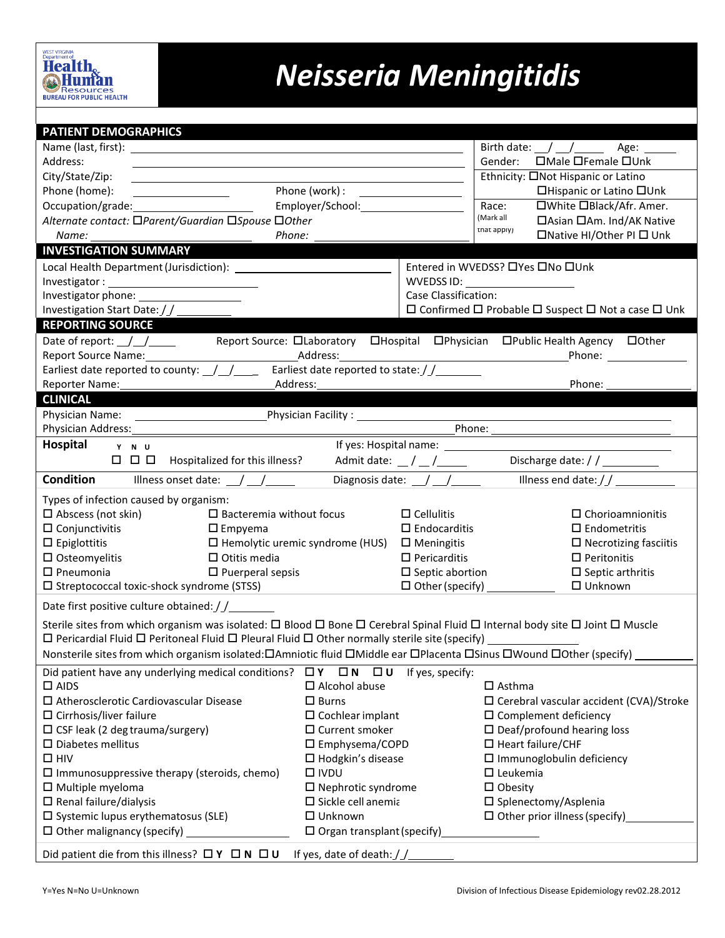## *Neisseria Meningitidis*

| PATIENT DEMOGRAPHICS                                                                                                                                       |                                                               |                                                                                             |                                                                                                                                                                                                                                |  |  |  |  |  |  |
|------------------------------------------------------------------------------------------------------------------------------------------------------------|---------------------------------------------------------------|---------------------------------------------------------------------------------------------|--------------------------------------------------------------------------------------------------------------------------------------------------------------------------------------------------------------------------------|--|--|--|--|--|--|
|                                                                                                                                                            | Birth date: $\angle$ $\angle$ $\angle$ $\angle$ Age: $\angle$ |                                                                                             |                                                                                                                                                                                                                                |  |  |  |  |  |  |
| Address:                                                                                                                                                   | □Male □Female □Unk<br>Gender:                                 |                                                                                             |                                                                                                                                                                                                                                |  |  |  |  |  |  |
| City/State/Zip:<br><u> 1989 - Johann Stoff, Amerikaansk politiker (</u><br><u> 1989 - Johann Barbara, martxa alemaniar amerikan a</u>                      | Ethnicity: □Not Hispanic or Latino                            |                                                                                             |                                                                                                                                                                                                                                |  |  |  |  |  |  |
| Phone (home):<br>$\overline{\phantom{a}}$ . The contract of $\overline{\phantom{a}}$                                                                       | □Hispanic or Latino □Unk                                      |                                                                                             |                                                                                                                                                                                                                                |  |  |  |  |  |  |
| Occupation/grade:                                                                                                                                          | □White □Black/Afr. Amer.<br>Race:                             |                                                                                             |                                                                                                                                                                                                                                |  |  |  |  |  |  |
| Alternate contact: □Parent/Guardian □Spouse □Other                                                                                                         |                                                               | (Mark all<br>□ Asian □ Am. Ind/AK Native                                                    |                                                                                                                                                                                                                                |  |  |  |  |  |  |
| Phone:                                                                                                                                                     | that apply)<br>□Native HI/Other PI □ Unk                      |                                                                                             |                                                                                                                                                                                                                                |  |  |  |  |  |  |
| <b>INVESTIGATION SUMMARY</b>                                                                                                                               |                                                               |                                                                                             |                                                                                                                                                                                                                                |  |  |  |  |  |  |
| Local Health Department (Jurisdiction):                                                                                                                    |                                                               |                                                                                             | Entered in WVEDSS? □ Yes □ No □ Unk                                                                                                                                                                                            |  |  |  |  |  |  |
|                                                                                                                                                            |                                                               | WVEDSS ID: ____________________                                                             |                                                                                                                                                                                                                                |  |  |  |  |  |  |
|                                                                                                                                                            | Case Classification:                                          |                                                                                             |                                                                                                                                                                                                                                |  |  |  |  |  |  |
| Investigation Start Date: $// \_\_$                                                                                                                        |                                                               | $\square$ Confirmed $\square$ Probable $\square$ Suspect $\square$ Not a case $\square$ Unk |                                                                                                                                                                                                                                |  |  |  |  |  |  |
| <b>REPORTING SOURCE</b>                                                                                                                                    |                                                               |                                                                                             |                                                                                                                                                                                                                                |  |  |  |  |  |  |
|                                                                                                                                                            |                                                               |                                                                                             |                                                                                                                                                                                                                                |  |  |  |  |  |  |
| Report Source Name: 1990 1990 1991 Address: Address: 2008 1991 1992 1994 1996 1997 1998 1999 1999 1999 1999 1                                              |                                                               |                                                                                             | Phone: the contract of the contract of the contract of the contract of the contract of the contract of the contract of the contract of the contract of the contract of the contract of the contract of the contract of the con |  |  |  |  |  |  |
| Earliest date reported to county: $\frac{1}{2}$ $\frac{1}{2}$ Earliest date reported to state: $\frac{1}{2}$                                               |                                                               |                                                                                             |                                                                                                                                                                                                                                |  |  |  |  |  |  |
| Phone:<br>Reporter Name:<br>Address:                                                                                                                       |                                                               |                                                                                             |                                                                                                                                                                                                                                |  |  |  |  |  |  |
| <b>CLINICAL</b>                                                                                                                                            |                                                               |                                                                                             |                                                                                                                                                                                                                                |  |  |  |  |  |  |
|                                                                                                                                                            | Physician Facility: 2000                                      |                                                                                             |                                                                                                                                                                                                                                |  |  |  |  |  |  |
|                                                                                                                                                            |                                                               |                                                                                             |                                                                                                                                                                                                                                |  |  |  |  |  |  |
| Hospital Y N U                                                                                                                                             |                                                               |                                                                                             |                                                                                                                                                                                                                                |  |  |  |  |  |  |
|                                                                                                                                                            |                                                               | Admit date: $\frac{1}{2}$ / $\frac{1}{2}$ / $\frac{1}{2}$                                   | Discharge date: / / _________                                                                                                                                                                                                  |  |  |  |  |  |  |
| <b>Condition</b><br>Illness onset date: $\angle$ / $\angle$                                                                                                |                                                               | Diagnosis date: $\angle$ $\angle$                                                           | Illness end date: $//$                                                                                                                                                                                                         |  |  |  |  |  |  |
| Types of infection caused by organism:                                                                                                                     |                                                               |                                                                                             |                                                                                                                                                                                                                                |  |  |  |  |  |  |
| $\Box$ Abscess (not skin)<br>$\square$ Bacteremia without focus                                                                                            |                                                               | $\Box$ Cellulitis                                                                           | $\Box$ Chorioamnionitis                                                                                                                                                                                                        |  |  |  |  |  |  |
| $\Box$ Conjunctivitis<br>$\square$ Empyema                                                                                                                 |                                                               | $\square$ Endocarditis                                                                      | $\square$ Endometritis                                                                                                                                                                                                         |  |  |  |  |  |  |
| $\Box$ Epiglottitis                                                                                                                                        | $\Box$ Hemolytic uremic syndrome (HUS) $\Box$ Meningitis      |                                                                                             | $\Box$ Necrotizing fasciitis                                                                                                                                                                                                   |  |  |  |  |  |  |
| $\square$ Osteomyelitis<br>$\Box$ Otitis media                                                                                                             |                                                               | $\Box$ Pericarditis                                                                         | $\Box$ Peritonitis                                                                                                                                                                                                             |  |  |  |  |  |  |
| $\square$ Pneumonia<br>$\Box$ Puerperal sepsis                                                                                                             |                                                               | $\square$ Septic abortion                                                                   | $\square$ Septic arthritis                                                                                                                                                                                                     |  |  |  |  |  |  |
| □ Streptococcal toxic-shock syndrome (STSS)                                                                                                                |                                                               |                                                                                             | $\Box$ Unknown                                                                                                                                                                                                                 |  |  |  |  |  |  |
|                                                                                                                                                            |                                                               |                                                                                             |                                                                                                                                                                                                                                |  |  |  |  |  |  |
| Date first positive culture obtained: //________                                                                                                           |                                                               |                                                                                             |                                                                                                                                                                                                                                |  |  |  |  |  |  |
| Sterile sites from which organism was isolated: $\Box$ Blood $\Box$ Bone $\Box$ Cerebral Spinal Fluid $\Box$ Internal body site $\Box$ Joint $\Box$ Muscle |                                                               |                                                                                             |                                                                                                                                                                                                                                |  |  |  |  |  |  |
|                                                                                                                                                            |                                                               |                                                                                             |                                                                                                                                                                                                                                |  |  |  |  |  |  |
| Nonsterile sites from which organism isolated: OAmniotic fluid OMiddle ear OPlacenta OSinus OWound OOther (specify)                                        |                                                               |                                                                                             |                                                                                                                                                                                                                                |  |  |  |  |  |  |
| Did patient have any underlying medical conditions? $\Box Y$ $\Box N$ $\Box U$                                                                             |                                                               | If yes, specify:                                                                            |                                                                                                                                                                                                                                |  |  |  |  |  |  |
| $\square$ AIDS                                                                                                                                             | $\Box$ Alcohol abuse                                          |                                                                                             | $\square$ Asthma                                                                                                                                                                                                               |  |  |  |  |  |  |
| $\square$ Atherosclerotic Cardiovascular Disease                                                                                                           | $\Box$ Burns                                                  |                                                                                             | $\Box$ Cerebral vascular accident (CVA)/Stroke                                                                                                                                                                                 |  |  |  |  |  |  |
| $\square$ Cirrhosis/liver failure                                                                                                                          | $\square$ Cochlear implant                                    |                                                                                             | $\square$ Complement deficiency                                                                                                                                                                                                |  |  |  |  |  |  |
| $\square$ CSF leak (2 deg trauma/surgery)                                                                                                                  | $\Box$ Current smoker                                         |                                                                                             | $\Box$ Deaf/profound hearing loss                                                                                                                                                                                              |  |  |  |  |  |  |
| $\square$ Diabetes mellitus                                                                                                                                | $\square$ Emphysema/COPD                                      |                                                                                             | $\Box$ Heart failure/CHF                                                                                                                                                                                                       |  |  |  |  |  |  |
| $\square$ HIV                                                                                                                                              | $\Box$ Hodgkin's disease                                      |                                                                                             | $\Box$ Immunoglobulin deficiency                                                                                                                                                                                               |  |  |  |  |  |  |
| $\square$ Immunosuppressive therapy (steroids, chemo)                                                                                                      | $\square$ IVDU                                                |                                                                                             | $\Box$ Leukemia                                                                                                                                                                                                                |  |  |  |  |  |  |
| $\square$ Multiple myeloma                                                                                                                                 | $\Box$ Nephrotic syndrome                                     |                                                                                             | $\Box$ Obesity                                                                                                                                                                                                                 |  |  |  |  |  |  |
| $\Box$ Renal failure/dialysis                                                                                                                              | $\square$ Sickle cell anemia                                  |                                                                                             | $\square$ Splenectomy/Asplenia                                                                                                                                                                                                 |  |  |  |  |  |  |
| $\square$ Systemic lupus erythematosus (SLE)                                                                                                               | $\Box$ Unknown                                                |                                                                                             | $\Box$ Other prior illness (specify)                                                                                                                                                                                           |  |  |  |  |  |  |
| $\Box$ Other malignancy (specify)                                                                                                                          | $\Box$ Organ transplant (specify)                             |                                                                                             |                                                                                                                                                                                                                                |  |  |  |  |  |  |
| Did patient die from this illness? $\Box Y \Box N \Box U$<br>If yes, date of death: $\int$                                                                 |                                                               |                                                                                             |                                                                                                                                                                                                                                |  |  |  |  |  |  |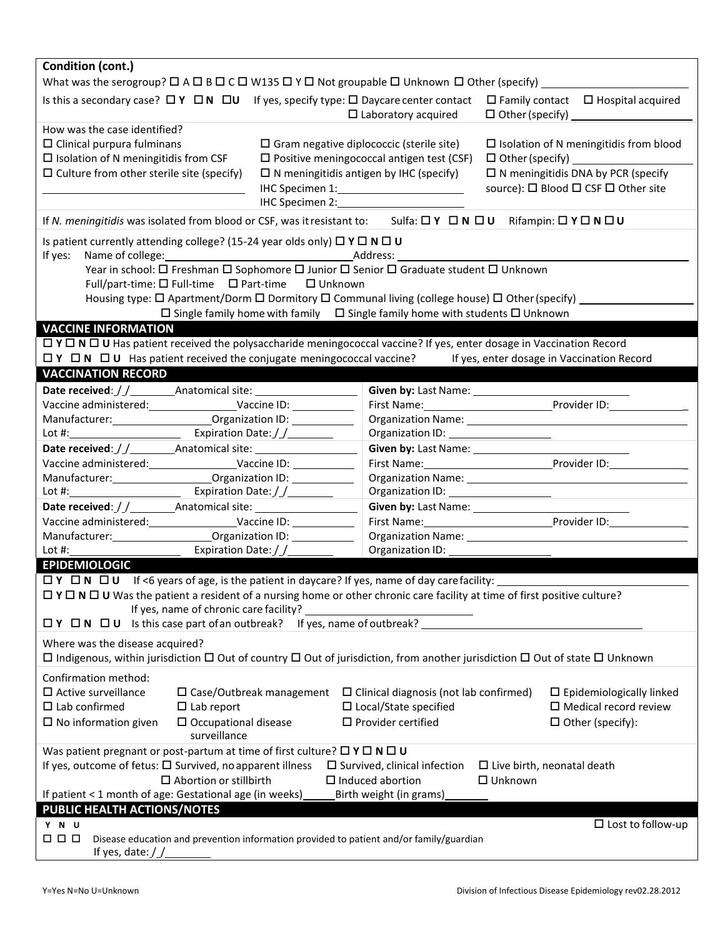| Condition (cont.)                                                                                                                                                                                                                                                                                                           |                                                                                                                                                                                                                                      |                                                                                                                                                                       |  |  |  |  |  |  |
|-----------------------------------------------------------------------------------------------------------------------------------------------------------------------------------------------------------------------------------------------------------------------------------------------------------------------------|--------------------------------------------------------------------------------------------------------------------------------------------------------------------------------------------------------------------------------------|-----------------------------------------------------------------------------------------------------------------------------------------------------------------------|--|--|--|--|--|--|
|                                                                                                                                                                                                                                                                                                                             |                                                                                                                                                                                                                                      |                                                                                                                                                                       |  |  |  |  |  |  |
| Is this a secondary case? $\Box Y$ $\Box N$ $\Box U$ If yes, specify type: $\Box$ Daycare center contact<br>$\Box$ Family contact $\Box$ Hospital acquired<br>$\Box$ Laboratory acquired                                                                                                                                    |                                                                                                                                                                                                                                      |                                                                                                                                                                       |  |  |  |  |  |  |
| How was the case identified?<br>$\Box$ Clinical purpura fulminans<br>$\square$ Gram negative diplococcic (sterile site)<br>$\square$ Isolation of N meningitidis from CSF<br>$\Box$ Culture from other sterile site (specify)<br>$\Box$ N meningitidis antigen by IHC (specify)                                             | $\Box$ Positive meningococcal antigen test (CSF)                                                                                                                                                                                     | $\Box$ Isolation of N meningitidis from blood<br>$\Box$ Other (specify) $\Box$<br>$\square$ N meningitidis DNA by PCR (specify<br>source): □ Blood □ CSF □ Other site |  |  |  |  |  |  |
| IHC Specimen 2:<br>If N. meningitidis was isolated from blood or CSF, was it resistant to: Sulfa: $\Box Y \Box N \Box U$ Rifampin: $\Box Y \Box N \Box U$                                                                                                                                                                   |                                                                                                                                                                                                                                      |                                                                                                                                                                       |  |  |  |  |  |  |
| Is patient currently attending college? (15-24 year olds only) $\Box$ Y $\Box$ N $\Box$ U<br>If yes:<br>Year in school: $\square$ Freshman $\square$ Sophomore $\square$ Junior $\square$ Senior $\square$ Graduate student $\square$ Unknown                                                                               |                                                                                                                                                                                                                                      |                                                                                                                                                                       |  |  |  |  |  |  |
| Full/part-time: $\square$ Full-time $\square$ Part-time $\square$ Unknown<br>Housing type: □ Apartment/Dorm □ Dormitory □ Communal living (college house) □ Other (specify) _________<br>$\Box$ Single family home with family $\Box$ Single family home with students $\Box$ Unknown                                       |                                                                                                                                                                                                                                      |                                                                                                                                                                       |  |  |  |  |  |  |
| <b>VACCINE INFORMATION</b>                                                                                                                                                                                                                                                                                                  |                                                                                                                                                                                                                                      |                                                                                                                                                                       |  |  |  |  |  |  |
| $\Box$ Y $\Box$ N $\Box$ U Has patient received the polysaccharide meningococcal vaccine? If yes, enter dosage in Vaccination Record<br>□ Y □ N □ U Has patient received the conjugate meningococcal vaccine? If yes, enter dosage in Vaccination Record                                                                    |                                                                                                                                                                                                                                      |                                                                                                                                                                       |  |  |  |  |  |  |
| <b>VACCINATION RECORD</b>                                                                                                                                                                                                                                                                                                   |                                                                                                                                                                                                                                      |                                                                                                                                                                       |  |  |  |  |  |  |
| Date received: / / __________ Anatomical site: _________________________________                                                                                                                                                                                                                                            | Given by: Last Name: ______________                                                                                                                                                                                                  |                                                                                                                                                                       |  |  |  |  |  |  |
|                                                                                                                                                                                                                                                                                                                             |                                                                                                                                                                                                                                      |                                                                                                                                                                       |  |  |  |  |  |  |
| Manufacturer: ___________________________Organization ID: _______________                                                                                                                                                                                                                                                   |                                                                                                                                                                                                                                      |                                                                                                                                                                       |  |  |  |  |  |  |
|                                                                                                                                                                                                                                                                                                                             |                                                                                                                                                                                                                                      |                                                                                                                                                                       |  |  |  |  |  |  |
|                                                                                                                                                                                                                                                                                                                             |                                                                                                                                                                                                                                      |                                                                                                                                                                       |  |  |  |  |  |  |
| Vaccine administered: Vaccine ID: Vaccine ID:                                                                                                                                                                                                                                                                               |                                                                                                                                                                                                                                      | First Name: Provider ID:                                                                                                                                              |  |  |  |  |  |  |
| Manufacturer: __________________________________Organization ID: _______________<br>Lot #: $\frac{1}{2}$ Expiration Date: $\frac{1}{2}$                                                                                                                                                                                     | Organization ID: <u>contract and a series of the series of the series of the series of the series of the series of the series of the series of the series of the series of the series of the series of the series of the series </u> |                                                                                                                                                                       |  |  |  |  |  |  |
|                                                                                                                                                                                                                                                                                                                             |                                                                                                                                                                                                                                      |                                                                                                                                                                       |  |  |  |  |  |  |
| Vaccine administered: Vaccine ID: Vaccine ID:                                                                                                                                                                                                                                                                               |                                                                                                                                                                                                                                      |                                                                                                                                                                       |  |  |  |  |  |  |
| Manufacturer: 0rganization ID:                                                                                                                                                                                                                                                                                              |                                                                                                                                                                                                                                      |                                                                                                                                                                       |  |  |  |  |  |  |
| Lot #: $\sqrt{2\pi}$ Expiration Date: $\int \int$                                                                                                                                                                                                                                                                           |                                                                                                                                                                                                                                      |                                                                                                                                                                       |  |  |  |  |  |  |
| <b>EPIDEMIOLOGIC</b>                                                                                                                                                                                                                                                                                                        |                                                                                                                                                                                                                                      |                                                                                                                                                                       |  |  |  |  |  |  |
| $\Box$ Y $\Box$ N $\Box$ U If <6 years of age, is the patient in daycare? If yes, name of day care facility:                                                                                                                                                                                                                |                                                                                                                                                                                                                                      |                                                                                                                                                                       |  |  |  |  |  |  |
| $\Box$ Y $\Box$ N $\Box$ U Was the patient a resident of a nursing home or other chronic care facility at time of first positive culture?<br>If yes, name of chronic care facility?<br>If yes, name of outbreak?<br>$\Box Y$ $\Box N$ $\Box U$<br>Is this case part of an outbreak?                                         |                                                                                                                                                                                                                                      |                                                                                                                                                                       |  |  |  |  |  |  |
| Where was the disease acquired?<br>$\Box$ Indigenous, within jurisdiction $\Box$ Out of country $\Box$ Out of jurisdiction, from another jurisdiction $\Box$ Out of state $\Box$ Unknown                                                                                                                                    |                                                                                                                                                                                                                                      |                                                                                                                                                                       |  |  |  |  |  |  |
| Confirmation method:<br>$\square$ Active surveillance<br>$\square$ Case/Outbreak management<br>$\square$ Lab confirmed<br>$\Box$ Lab report<br>$\square$ No information given<br>$\square$ Occupational disease<br>surveillance                                                                                             | $\Box$ Clinical diagnosis (not lab confirmed)<br>$\square$ Local/State specified<br>$\square$ Provider certified                                                                                                                     | $\Box$ Epidemiologically linked<br>$\square$ Medical record review<br>$\Box$ Other (specify):                                                                         |  |  |  |  |  |  |
| Was patient pregnant or post-partum at time of first culture? $\Box$ $Y \Box N \Box U$<br>If yes, outcome of fetus: $\square$ Survived, no apparent illness<br>$\square$ Survived, clinical infection<br>$\Box$ Live birth, neonatal death<br>$\square$ Abortion or stillbirth<br>$\Box$ Induced abortion<br>$\Box$ Unknown |                                                                                                                                                                                                                                      |                                                                                                                                                                       |  |  |  |  |  |  |
| If patient < 1 month of age: Gestational age (in weeks)<br>Birth weight (in grams)                                                                                                                                                                                                                                          |                                                                                                                                                                                                                                      |                                                                                                                                                                       |  |  |  |  |  |  |
| PUBLIC HEALTH ACTIONS/NOTES                                                                                                                                                                                                                                                                                                 |                                                                                                                                                                                                                                      |                                                                                                                                                                       |  |  |  |  |  |  |
| Y N U                                                                                                                                                                                                                                                                                                                       |                                                                                                                                                                                                                                      | $\square$ Lost to follow-up                                                                                                                                           |  |  |  |  |  |  |
| $\Box$ $\Box$ $\Box$<br>Disease education and prevention information provided to patient and/or family/guardian<br>If yes, date: $\int f$                                                                                                                                                                                   |                                                                                                                                                                                                                                      |                                                                                                                                                                       |  |  |  |  |  |  |